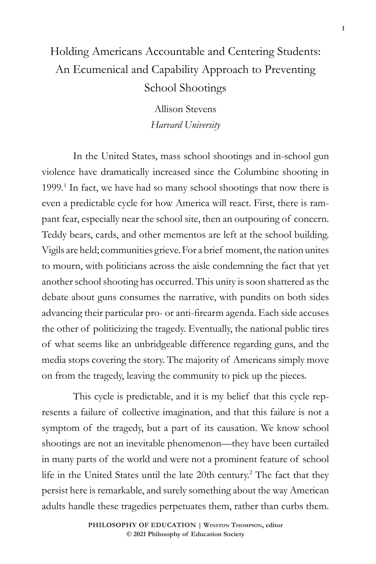# Holding Americans Accountable and Centering Students: An Ecumenical and Capability Approach to Preventing School Shootings

Allison Stevens *Harvard University*

In the United States, mass school shootings and in-school gun violence have dramatically increased since the Columbine shooting in 1999.<sup>1</sup> In fact, we have had so many school shootings that now there is even a predictable cycle for how America will react. First, there is rampant fear, especially near the school site, then an outpouring of concern. Teddy bears, cards, and other mementos are left at the school building. Vigils are held; communities grieve. For a brief moment, the nation unites to mourn, with politicians across the aisle condemning the fact that yet another school shooting has occurred. This unity is soon shattered as the debate about guns consumes the narrative, with pundits on both sides advancing their particular pro- or anti-firearm agenda. Each side accuses the other of politicizing the tragedy. Eventually, the national public tires of what seems like an unbridgeable difference regarding guns, and the media stops covering the story. The majority of Americans simply move on from the tragedy, leaving the community to pick up the pieces.

This cycle is predictable, and it is my belief that this cycle represents a failure of collective imagination, and that this failure is not a symptom of the tragedy, but a part of its causation. We know school shootings are not an inevitable phenomenon—they have been curtailed in many parts of the world and were not a prominent feature of school life in the United States until the late 20th century.2 The fact that they persist here is remarkable, and surely something about the way American adults handle these tragedies perpetuates them, rather than curbs them.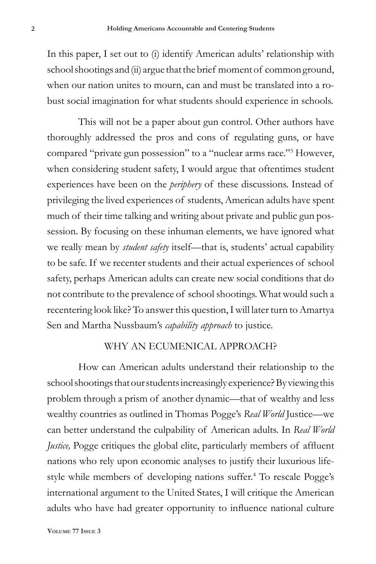In this paper, I set out to (i) identify American adults' relationship with school shootings and (ii) argue that the brief moment of common ground, when our nation unites to mourn, can and must be translated into a robust social imagination for what students should experience in schools.

This will not be a paper about gun control. Other authors have thoroughly addressed the pros and cons of regulating guns, or have compared "private gun possession" to a "nuclear arms race."3 However, when considering student safety, I would argue that oftentimes student experiences have been on the *periphery* of these discussions. Instead of privileging the lived experiences of students, American adults have spent much of their time talking and writing about private and public gun possession. By focusing on these inhuman elements, we have ignored what we really mean by *student safety* itself—that is, students' actual capability to be safe. If we recenter students and their actual experiences of school safety, perhaps American adults can create new social conditions that do not contribute to the prevalence of school shootings. What would such a recentering look like? To answer this question, I will later turn to Amartya Sen and Martha Nussbaum's *capability approach* to justice.

### WHY AN ECUMENICAL APPROACH?

How can American adults understand their relationship to the school shootings that our students increasingly experience? By viewing this problem through a prism of another dynamic—that of wealthy and less wealthy countries as outlined in Thomas Pogge's *Real World* Justice—we can better understand the culpability of American adults. In *Real World Justice*, Pogge critiques the global elite, particularly members of affluent nations who rely upon economic analyses to justify their luxurious lifestyle while members of developing nations suffer.4 To rescale Pogge's international argument to the United States, I will critique the American adults who have had greater opportunity to influence national culture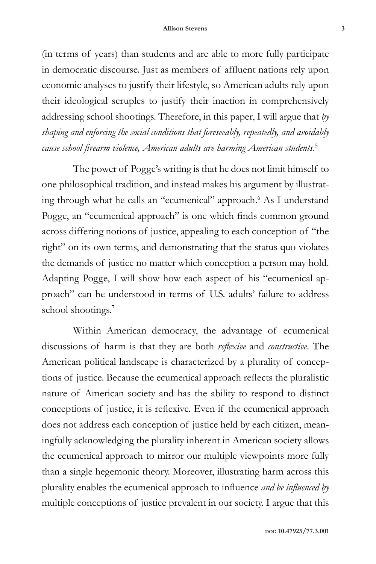(in terms of years) than students and are able to more fully participate in democratic discourse. Just as members of affluent nations rely upon economic analyses to justify their lifestyle, so American adults rely upon their ideological scruples to justify their inaction in comprehensively addressing school shootings. Therefore, in this paper, I will argue that *by shaping and enforcing the social conditions that foreseeably, repeatedly, and avoidably cause school firearm violence, American adults are harming American students*. 5

The power of Pogge's writing is that he does not limit himself to one philosophical tradition, and instead makes his argument by illustrating through what he calls an "ecumenical" approach.<sup>6</sup> As I understand Pogge, an "ecumenical approach" is one which finds common ground across differing notions of justice, appealing to each conception of "the right" on its own terms, and demonstrating that the status quo violates the demands of justice no matter which conception a person may hold. Adapting Pogge, I will show how each aspect of his "ecumenical approach" can be understood in terms of U.S. adults' failure to address school shootings.<sup>7</sup>

Within American democracy, the advantage of ecumenical discussions of harm is that they are both *reflexive* and *constructive*. The American political landscape is characterized by a plurality of conceptions of justice. Because the ecumenical approach reflects the pluralistic nature of American society and has the ability to respond to distinct conceptions of justice, it is reflexive. Even if the ecumenical approach does not address each conception of justice held by each citizen, meaningfully acknowledging the plurality inherent in American society allows the ecumenical approach to mirror our multiple viewpoints more fully than a single hegemonic theory. Moreover, illustrating harm across this plurality enables the ecumenical approach to influence *and be influenced by* multiple conceptions of justice prevalent in our society. I argue that this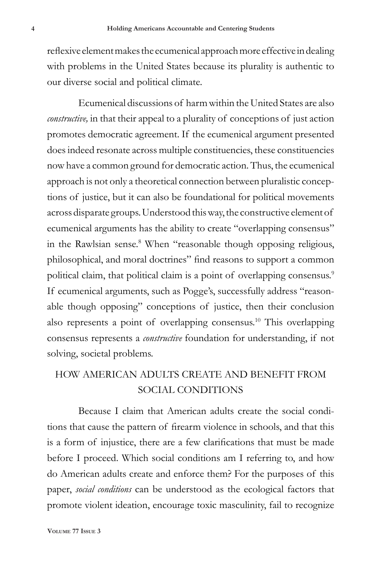reflexive element makes the ecumenical approach more effective in dealing with problems in the United States because its plurality is authentic to our diverse social and political climate.

Ecumenical discussions of harm within the United States are also *constructive*, in that their appeal to a plurality of conceptions of just action promotes democratic agreement. If the ecumenical argument presented does indeed resonate across multiple constituencies, these constituencies now have a common ground for democratic action. Thus, the ecumenical approach is not only a theoretical connection between pluralistic conceptions of justice, but it can also be foundational for political movements across disparate groups. Understood this way, the constructive element of ecumenical arguments has the ability to create "overlapping consensus" in the Rawlsian sense.<sup>8</sup> When "reasonable though opposing religious, philosophical, and moral doctrines" find reasons to support a common political claim, that political claim is a point of overlapping consensus.<sup>9</sup> If ecumenical arguments, such as Pogge's, successfully address "reasonable though opposing" conceptions of justice, then their conclusion also represents a point of overlapping consensus.10 This overlapping consensus represents a *constructive* foundation for understanding, if not solving, societal problems.

### HOW AMERICAN ADULTS CREATE AND BENEFIT FROM SOCIAL CONDITIONS

Because I claim that American adults create the social conditions that cause the pattern of firearm violence in schools, and that this is a form of injustice, there are a few clarifications that must be made before I proceed. Which social conditions am I referring to, and how do American adults create and enforce them? For the purposes of this paper, *social conditions* can be understood as the ecological factors that promote violent ideation, encourage toxic masculinity, fail to recognize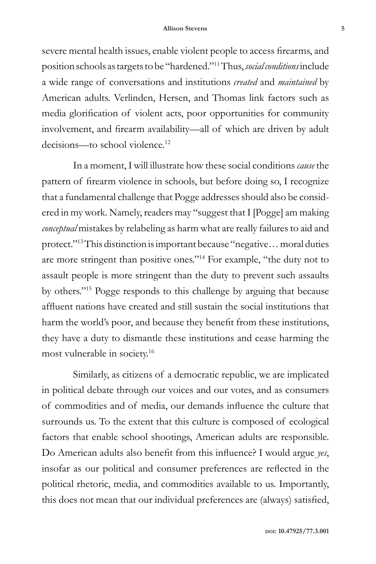severe mental health issues, enable violent people to access firearms, and position schools as targets to be "hardened."11 Thus, *social conditions* include a wide range of conversations and institutions *created* and *maintained* by American adults. Verlinden, Hersen, and Thomas link factors such as media glorification of violent acts, poor opportunities for community involvement, and firearm availability—all of which are driven by adult decisions—to school violence.<sup>12</sup>

In a moment, I will illustrate how these social conditions *cause* the pattern of firearm violence in schools, but before doing so, I recognize that a fundamental challenge that Pogge addresses should also be considered in my work. Namely, readers may "suggest that I [Pogge] am making *conceptual* mistakes by relabeling as harm what are really failures to aid and protect."13 This distinction is important because "negative… moral duties are more stringent than positive ones."14 For example, "the duty not to assault people is more stringent than the duty to prevent such assaults by others."15 Pogge responds to this challenge by arguing that because affluent nations have created and still sustain the social institutions that harm the world's poor, and because they benefit from these institutions, they have a duty to dismantle these institutions and cease harming the most vulnerable in society.16

Similarly, as citizens of a democratic republic, we are implicated in political debate through our voices and our votes, and as consumers of commodities and of media, our demands influence the culture that surrounds us. To the extent that this culture is composed of ecological factors that enable school shootings, American adults are responsible. Do American adults also benefit from this influence? I would argue *yes*, insofar as our political and consumer preferences are reflected in the political rhetoric, media, and commodities available to us. Importantly, this does not mean that our individual preferences are (always) satisfied,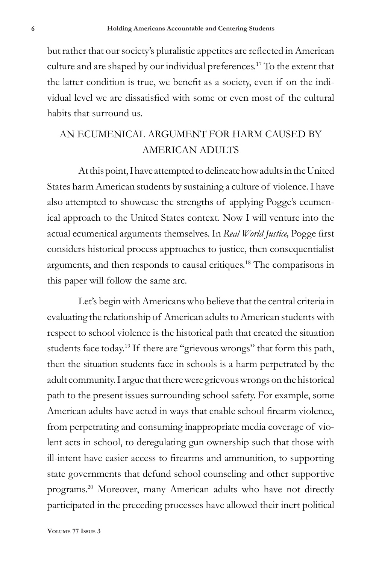but rather that our society's pluralistic appetites are reflected in American culture and are shaped by our individual preferences.17 To the extent that the latter condition is true, we benefit as a society, even if on the individual level we are dissatisfied with some or even most of the cultural habits that surround us.

## AN ECUMENICAL ARGUMENT FOR HARM CAUSED BY AMERICAN ADULTS

At this point, I have attempted to delineate how adults in the United States harm American students by sustaining a culture of violence. I have also attempted to showcase the strengths of applying Pogge's ecumenical approach to the United States context. Now I will venture into the actual ecumenical arguments themselves. In *Real World Justice,* Pogge first considers historical process approaches to justice, then consequentialist arguments, and then responds to causal critiques.18 The comparisons in this paper will follow the same arc.

Let's begin with Americans who believe that the central criteria in evaluating the relationship of American adults to American students with respect to school violence is the historical path that created the situation students face today.<sup>19</sup> If there are "grievous wrongs" that form this path, then the situation students face in schools is a harm perpetrated by the adult community. I argue that there were grievous wrongs on the historical path to the present issues surrounding school safety. For example, some American adults have acted in ways that enable school firearm violence, from perpetrating and consuming inappropriate media coverage of violent acts in school, to deregulating gun ownership such that those with ill-intent have easier access to firearms and ammunition, to supporting state governments that defund school counseling and other supportive programs.20 Moreover, many American adults who have not directly participated in the preceding processes have allowed their inert political

**Volume 77 Issue 3**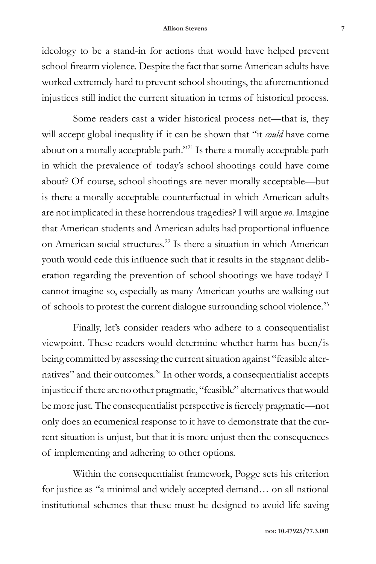#### **Allison Stevens 7**

ideology to be a stand-in for actions that would have helped prevent school firearm violence. Despite the fact that some American adults have worked extremely hard to prevent school shootings, the aforementioned injustices still indict the current situation in terms of historical process.

Some readers cast a wider historical process net—that is, they will accept global inequality if it can be shown that "it *could* have come about on a morally acceptable path."21 Is there a morally acceptable path in which the prevalence of today's school shootings could have come about? Of course, school shootings are never morally acceptable—but is there a morally acceptable counterfactual in which American adults are not implicated in these horrendous tragedies? I will argue *no*. Imagine that American students and American adults had proportional influence on American social structures.22 Is there a situation in which American youth would cede this influence such that it results in the stagnant deliberation regarding the prevention of school shootings we have today? I cannot imagine so, especially as many American youths are walking out of schools to protest the current dialogue surrounding school violence.23

Finally, let's consider readers who adhere to a consequentialist viewpoint. These readers would determine whether harm has been/is being committed by assessing the current situation against "feasible alternatives" and their outcomes.24 In other words, a consequentialist accepts injustice if there are no other pragmatic, "feasible" alternatives that would be more just. The consequentialist perspective is fiercely pragmatic—not only does an ecumenical response to it have to demonstrate that the current situation is unjust, but that it is more unjust then the consequences of implementing and adhering to other options.

Within the consequentialist framework, Pogge sets his criterion for justice as "a minimal and widely accepted demand… on all national institutional schemes that these must be designed to avoid life-saving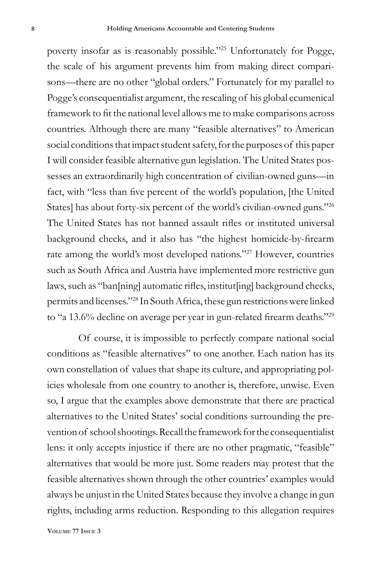poverty insofar as is reasonably possible."25 Unfortunately for Pogge, the scale of his argument prevents him from making direct comparisons—there are no other "global orders." Fortunately for my parallel to Pogge's consequentialist argument, the rescaling of his global ecumenical framework to fit the national level allows me to make comparisons across countries. Although there are many "feasible alternatives" to American social conditions that impact student safety, for the purposes of this paper I will consider feasible alternative gun legislation. The United States possesses an extraordinarily high concentration of civilian-owned guns—in fact, with "less than five percent of the world's population, [the United States] has about forty-six percent of the world's civilian-owned guns."26 The United States has not banned assault rifles or instituted universal background checks, and it also has "the highest homicide-by-firearm rate among the world's most developed nations."27 However, countries such as South Africa and Austria have implemented more restrictive gun laws, such as "ban[ning] automatic rifles, institut[ing] background checks, permits and licenses."28 In South Africa, these gun restrictions were linked to "a 13.6% decline on average per year in gun-related firearm deaths."<sup>29</sup>

Of course, it is impossible to perfectly compare national social conditions as "feasible alternatives" to one another. Each nation has its own constellation of values that shape its culture, and appropriating policies wholesale from one country to another is, therefore, unwise. Even so, I argue that the examples above demonstrate that there are practical alternatives to the United States' social conditions surrounding the prevention of school shootings. Recall the framework for the consequentialist lens: it only accepts injustice if there are no other pragmatic, "feasible" alternatives that would be more just. Some readers may protest that the feasible alternatives shown through the other countries' examples would always be unjust in the United States because they involve a change in gun rights, including arms reduction. Responding to this allegation requires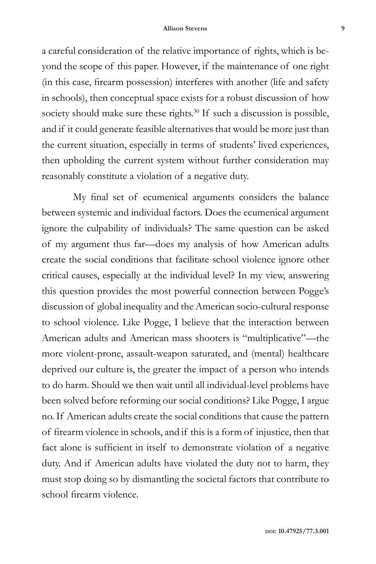a careful consideration of the relative importance of rights, which is beyond the scope of this paper. However, if the maintenance of one right (in this case, firearm possession) interferes with another (life and safety in schools), then conceptual space exists for a robust discussion of how society should make sure these rights.<sup>30</sup> If such a discussion is possible, and if it could generate feasible alternatives that would be more just than the current situation, especially in terms of students' lived experiences, then upholding the current system without further consideration may reasonably constitute a violation of a negative duty.

My final set of ecumenical arguments considers the balance between systemic and individual factors. Does the ecumenical argument ignore the culpability of individuals? The same question can be asked of my argument thus far—does my analysis of how American adults create the social conditions that facilitate school violence ignore other critical causes, especially at the individual level? In my view, answering this question provides the most powerful connection between Pogge's discussion of global inequality and the American socio-cultural response to school violence. Like Pogge, I believe that the interaction between American adults and American mass shooters is "multiplicative"—the more violent-prone, assault-weapon saturated, and (mental) healthcare deprived our culture is, the greater the impact of a person who intends to do harm. Should we then wait until all individual-level problems have been solved before reforming our social conditions? Like Pogge, I argue no. If American adults create the social conditions that cause the pattern of firearm violence in schools, and if this is a form of injustice, then that fact alone is sufficient in itself to demonstrate violation of a negative duty. And if American adults have violated the duty not to harm, they must stop doing so by dismantling the societal factors that contribute to school firearm violence.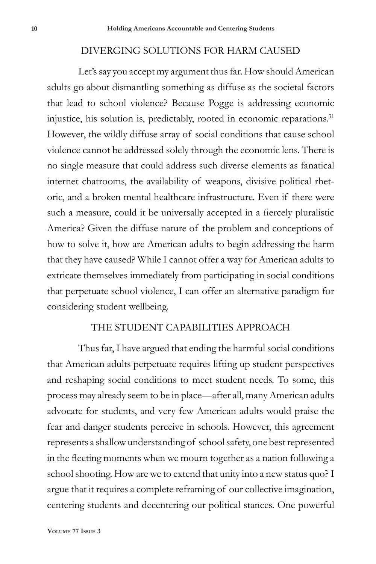#### DIVERGING SOLUTIONS FOR HARM CAUSED

Let's say you accept my argument thus far. How should American adults go about dismantling something as diffuse as the societal factors that lead to school violence? Because Pogge is addressing economic injustice, his solution is, predictably, rooted in economic reparations.<sup>31</sup> However, the wildly diffuse array of social conditions that cause school violence cannot be addressed solely through the economic lens. There is no single measure that could address such diverse elements as fanatical internet chatrooms, the availability of weapons, divisive political rhetoric, and a broken mental healthcare infrastructure. Even if there were such a measure, could it be universally accepted in a fiercely pluralistic America? Given the diffuse nature of the problem and conceptions of how to solve it, how are American adults to begin addressing the harm that they have caused? While I cannot offer a way for American adults to extricate themselves immediately from participating in social conditions that perpetuate school violence, I can offer an alternative paradigm for considering student wellbeing.

### THE STUDENT CAPABILITIES APPROACH

Thus far, I have argued that ending the harmful social conditions that American adults perpetuate requires lifting up student perspectives and reshaping social conditions to meet student needs. To some, this process may already seem to be in place—after all, many American adults advocate for students, and very few American adults would praise the fear and danger students perceive in schools. However, this agreement represents a shallow understanding of school safety, one best represented in the fleeting moments when we mourn together as a nation following a school shooting. How are we to extend that unity into a new status quo? I argue that it requires a complete reframing of our collective imagination, centering students and decentering our political stances. One powerful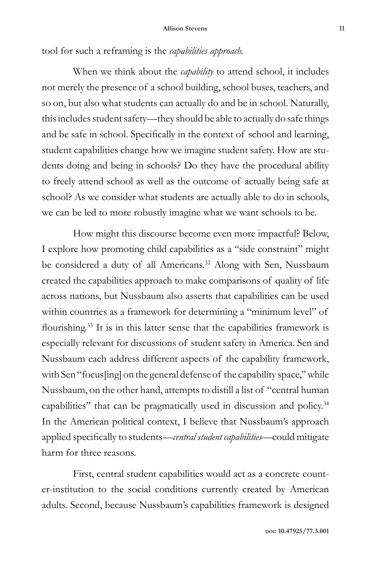tool for such a reframing is the *capabilities approach.*

When we think about the *capability* to attend school, it includes not merely the presence of a school building, school buses, teachers, and so on, but also what students can actually do and be in school. Naturally, this includes student safety—they should be able to actually do safe things and be safe in school. Specifically in the context of school and learning, student capabilities change how we imagine student safety. How are students doing and being in schools? Do they have the procedural ability to freely attend school as well as the outcome of actually being safe at school? As we consider what students are actually able to do in schools, we can be led to more robustly imagine what we want schools to be.

How might this discourse become even more impactful? Below, I explore how promoting child capabilities as a "side constraint" might be considered a duty of all Americans.<sup>32</sup> Along with Sen, Nussbaum created the capabilities approach to make comparisons of quality of life across nations, but Nussbaum also asserts that capabilities can be used within countries as a framework for determining a "minimum level" of flourishing.33 It is in this latter sense that the capabilities framework is especially relevant for discussions of student safety in America. Sen and Nussbaum each address different aspects of the capability framework, with Sen "focus[ing] on the general defense of the capability space," while Nussbaum, on the other hand, attempts to distill a list of "central human capabilities" that can be pragmatically used in discussion and policy.34 In the American political context, I believe that Nussbaum's approach applied specifically to students—*central student capabilities*—could mitigate harm for three reasons.

First, central student capabilities would act as a concrete counter-institution to the social conditions currently created by American adults. Second, because Nussbaum's capabilities framework is designed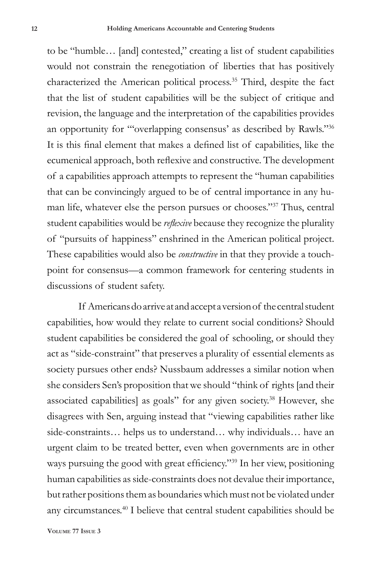to be "humble… [and] contested," creating a list of student capabilities would not constrain the renegotiation of liberties that has positively characterized the American political process.35 Third, despite the fact that the list of student capabilities will be the subject of critique and revision, the language and the interpretation of the capabilities provides an opportunity for "'overlapping consensus' as described by Rawls."36 It is this final element that makes a defined list of capabilities, like the ecumenical approach, both reflexive and constructive. The development of a capabilities approach attempts to represent the "human capabilities that can be convincingly argued to be of central importance in any human life, whatever else the person pursues or chooses."37 Thus, central student capabilities would be *reflexive* because they recognize the plurality of "pursuits of happiness" enshrined in the American political project. These capabilities would also be *constructive* in that they provide a touchpoint for consensus—a common framework for centering students in discussions of student safety.

If Americans do arrive at and accept a version of the central student capabilities, how would they relate to current social conditions? Should student capabilities be considered the goal of schooling, or should they act as "side-constraint" that preserves a plurality of essential elements as society pursues other ends? Nussbaum addresses a similar notion when she considers Sen's proposition that we should "think of rights [and their associated capabilities] as goals" for any given society.38 However, she disagrees with Sen, arguing instead that "viewing capabilities rather like side-constraints… helps us to understand… why individuals… have an urgent claim to be treated better, even when governments are in other ways pursuing the good with great efficiency."<sup>39</sup> In her view, positioning human capabilities as side-constraints does not devalue their importance, but rather positions them as boundaries which must not be violated under any circumstances.40 I believe that central student capabilities should be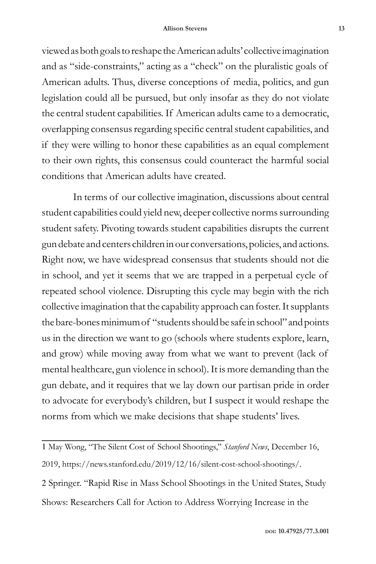viewed as both goals to reshape the American adults' collective imagination and as "side-constraints," acting as a "check" on the pluralistic goals of American adults. Thus, diverse conceptions of media, politics, and gun legislation could all be pursued, but only insofar as they do not violate the central student capabilities. If American adults came to a democratic, overlapping consensus regarding specific central student capabilities, and if they were willing to honor these capabilities as an equal complement to their own rights, this consensus could counteract the harmful social conditions that American adults have created.

In terms of our collective imagination, discussions about central student capabilities could yield new, deeper collective norms surrounding student safety. Pivoting towards student capabilities disrupts the current gun debate and centers children in our conversations, policies, and actions. Right now, we have widespread consensus that students should not die in school, and yet it seems that we are trapped in a perpetual cycle of repeated school violence. Disrupting this cycle may begin with the rich collective imagination that the capability approach can foster. It supplants the bare-bones minimum of "students should be safe in school" and points us in the direction we want to go (schools where students explore, learn, and grow) while moving away from what we want to prevent (lack of mental healthcare, gun violence in school). It is more demanding than the gun debate, and it requires that we lay down our partisan pride in order to advocate for everybody's children, but I suspect it would reshape the norms from which we make decisions that shape students' lives.

1 May Wong, "The Silent Cost of School Shootings," *Stanford News*, December 16, 2019, https://news.stanford.edu/2019/12/16/silent-cost-school-shootings/. 2 Springer. "Rapid Rise in Mass School Shootings in the United States, Study Shows: Researchers Call for Action to Address Worrying Increase in the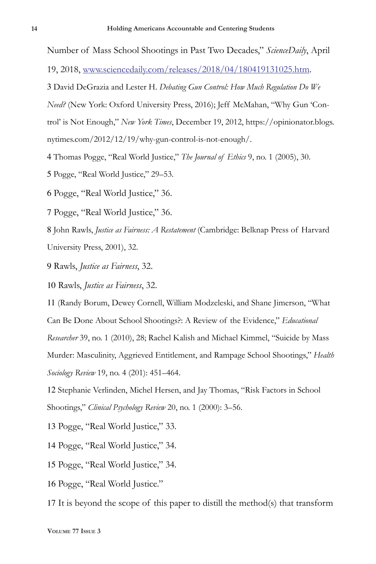Number of Mass School Shootings in Past Two Decades," *ScienceDaily*, April

19, 2018, www.sciencedaily.com/releases/2018/04/180419131025.htm.

3 David DeGrazia and Lester H. *Debating Gun Control: How Much Regulation Do We Need?* (New York: Oxford University Press, 2016); Jeff McMahan, "Why Gun 'Control' is Not Enough," *New York Times*, December 19, 2012, https://opinionator.blogs. nytimes.com/2012/12/19/why-gun-control-is-not-enough/.

4 Thomas Pogge, "Real World Justice," *The Journal of Ethics* 9, no. 1 (2005), 30.

5 Pogge, "Real World Justice," 29–53.

6 Pogge, "Real World Justice," 36.

7 Pogge, "Real World Justice," 36.

8 John Rawls, *Justice as Fairness: A Restatement* (Cambridge: Belknap Press of Harvard University Press, 2001), 32.

9 Rawls, *Justice as Fairness*, 32.

10 Rawls, *Justice as Fairness*, 32.

11 (Randy Borum, Dewey Cornell, William Modzeleski, and Shane Jimerson, "What Can Be Done About School Shootings?: A Review of the Evidence," *Educational Researcher* 39, no. 1 (2010), 28; Rachel Kalish and Michael Kimmel, "Suicide by Mass Murder: Masculinity, Aggrieved Entitlement, and Rampage School Shootings," *Health Sociology Review* 19, no. 4 (201): 451–464.

12 Stephanie Verlinden, Michel Hersen, and Jay Thomas, "Risk Factors in School Shootings," *Clinical Psychology Review* 20, no. 1 (2000): 3–56.

13 Pogge, "Real World Justice," 33.

14 Pogge, "Real World Justice," 34.

15 Pogge, "Real World Justice," 34.

16 Pogge, "Real World Justice."

17 It is beyond the scope of this paper to distill the method(s) that transform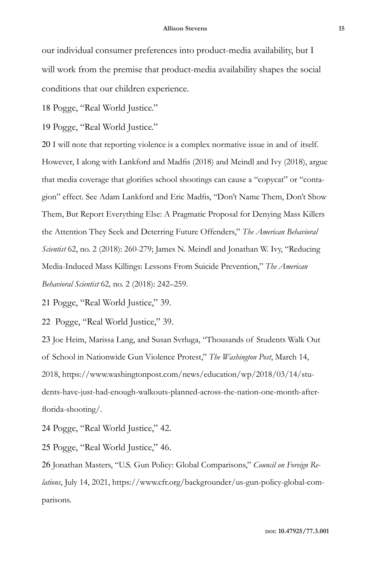our individual consumer preferences into product-media availability, but I will work from the premise that product-media availability shapes the social conditions that our children experience.

18 Pogge, "Real World Justice."

19 Pogge, "Real World Justice."

20 I will note that reporting violence is a complex normative issue in and of itself. However, I along with Lankford and Madfis (2018) and Meindl and Ivy (2018), argue that media coverage that glorifies school shootings can cause a "copycat" or "contagion" effect. See Adam Lankford and Eric Madfis, "Don't Name Them, Don't Show Them, But Report Everything Else: A Pragmatic Proposal for Denying Mass Killers the Attention They Seek and Deterring Future Offenders," *The American Behavioral Scientist* 62, no. 2 (2018): 260-279; James N. Meindl and Jonathan W. Ivy, "Reducing Media-Induced Mass Killings: Lessons From Suicide Prevention," *The American Behavioral Scientist* 62*,* no. 2 (2018): 242–259.

21 Pogge, "Real World Justice," 39.

22 Pogge, "Real World Justice," 39.

23 Joe Heim, Marissa Lang, and Susan Svrluga, "Thousands of Students Walk Out of School in Nationwide Gun Violence Protest," *The Washington Post*, March 14, 2018, https://www.washingtonpost.com/news/education/wp/2018/03/14/students-have-just-had-enough-walkouts-planned-across-the-nation-one-month-afterflorida-shooting/.

24 Pogge, "Real World Justice," 42.

25 Pogge, "Real World Justice," 46.

26 Jonathan Masters, "U.S. Gun Policy: Global Comparisons," *Council on Foreign Relations*, July 14, 2021, https://www.cfr.org/backgrounder/us-gun-policy-global-comparisons.